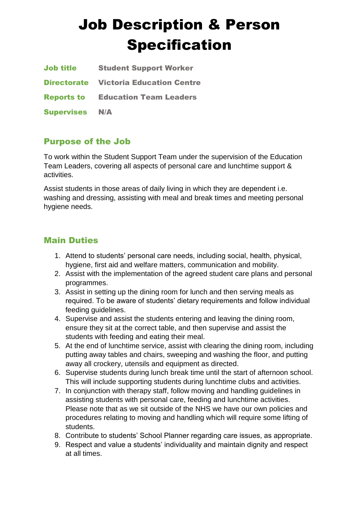# Job Description & Person Specification

| <b>Job title</b>  | <b>Student Support Worker</b>                |
|-------------------|----------------------------------------------|
|                   | <b>Directorate</b> Victoria Education Centre |
|                   | <b>Reports to Education Team Leaders</b>     |
| <b>Supervises</b> | N/A                                          |

## Purpose of the Job

To work within the Student Support Team under the supervision of the Education Team Leaders, covering all aspects of personal care and lunchtime support & activities.

Assist students in those areas of daily living in which they are dependent i.e. washing and dressing, assisting with meal and break times and meeting personal hygiene needs.

## Main Duties

- 1. Attend to students' personal care needs, including social, health, physical, hygiene, first aid and welfare matters, communication and mobility.
- 2. Assist with the implementation of the agreed student care plans and personal programmes.
- 3. Assist in setting up the dining room for lunch and then serving meals as required. To be aware of students' dietary requirements and follow individual feeding guidelines.
- 4. Supervise and assist the students entering and leaving the dining room, ensure they sit at the correct table, and then supervise and assist the students with feeding and eating their meal.
- 5. At the end of lunchtime service, assist with clearing the dining room, including putting away tables and chairs, sweeping and washing the floor, and putting away all crockery, utensils and equipment as directed.
- 6. Supervise students during lunch break time until the start of afternoon school. This will include supporting students during lunchtime clubs and activities.
- 7. In conjunction with therapy staff, follow moving and handling guidelines in assisting students with personal care, feeding and lunchtime activities. Please note that as we sit outside of the NHS we have our own policies and procedures relating to moving and handling which will require some lifting of students.
- 8. Contribute to students' School Planner regarding care issues, as appropriate.
- 9. Respect and value a students' individuality and maintain dignity and respect at all times.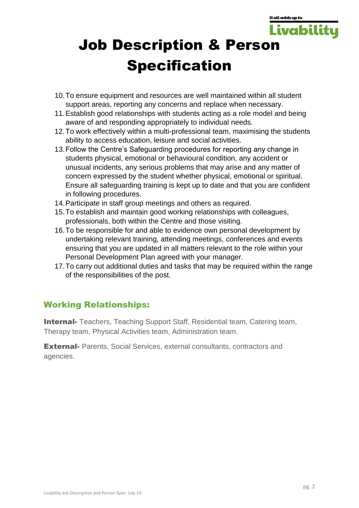It all adds up to

**Livabili** 

# Job Description & Person Specification

- 10.To ensure equipment and resources are well maintained within all student support areas, reporting any concerns and replace when necessary.
- 11.Establish good relationships with students acting as a role model and being aware of and responding appropriately to individual needs.
- 12.To work effectively within a multi-professional team, maximising the students ability to access education, leisure and social activities.
- 13.Follow the Centre's Safeguarding procedures for reporting any change in students physical, emotional or behavioural condition, any accident or unusual incidents, any serious problems that may arise and any matter of concern expressed by the student whether physical, emotional or spiritual. Ensure all safeguarding training is kept up to date and that you are confident in following procedures.
- 14.Participate in staff group meetings and others as required.
- 15.To establish and maintain good working relationships with colleagues, professionals, both within the Centre and those visiting.
- 16.To be responsible for and able to evidence own personal development by undertaking relevant training, attending meetings, conferences and events ensuring that you are updated in all matters relevant to the role within your Personal Development Plan agreed with your manager.
- 17.To carry out additional duties and tasks that may be required within the range of the responsibilities of the post.

## Working Relationships:

**Internal-** Teachers, Teaching Support Staff, Residential team, Catering team, Therapy team, Physical Activities team, Administration team.

**External-** Parents, Social Services, external consultants, contractors and agencies.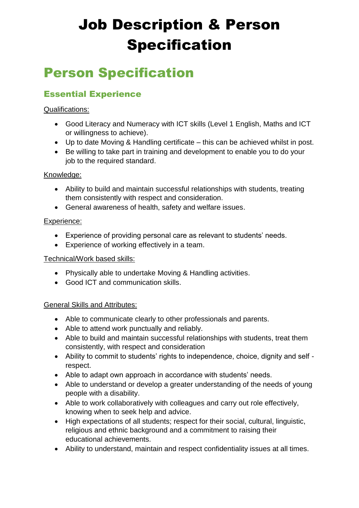# Job Description & Person Specification

## Person Specification

## Essential Experience

## Qualifications:

- Good Literacy and Numeracy with ICT skills (Level 1 English, Maths and ICT or willingness to achieve).
- Up to date Moving & Handling certificate this can be achieved whilst in post.
- Be willing to take part in training and development to enable you to do your job to the required standard.

## Knowledge:

- Ability to build and maintain successful relationships with students, treating them consistently with respect and consideration.
- General awareness of health, safety and welfare issues.

## Experience:

- Experience of providing personal care as relevant to students' needs.
- Experience of working effectively in a team.

## Technical/Work based skills:

- Physically able to undertake Moving & Handling activities.
- Good ICT and communication skills.

## General Skills and Attributes:

- Able to communicate clearly to other professionals and parents.
- Able to attend work punctually and reliably.
- Able to build and maintain successful relationships with students, treat them consistently, with respect and consideration
- Ability to commit to students' rights to independence, choice, dignity and self respect.
- Able to adapt own approach in accordance with students' needs.
- Able to understand or develop a greater understanding of the needs of young people with a disability.
- Able to work collaboratively with colleagues and carry out role effectively, knowing when to seek help and advice.
- High expectations of all students; respect for their social, cultural, linguistic, religious and ethnic background and a commitment to raising their educational achievements.
- Ability to understand, maintain and respect confidentiality issues at all times.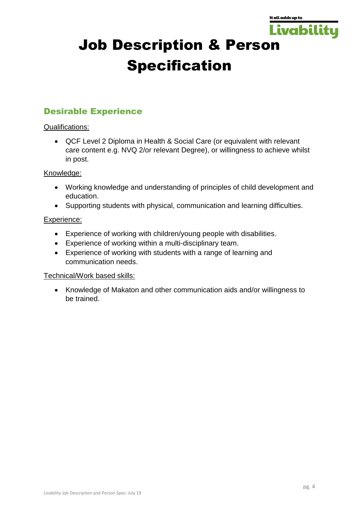

# Job Description & Person Specification

## Desirable Experience

## Qualifications:

 QCF Level 2 Diploma in Health & Social Care (or equivalent with relevant care content e.g. NVQ 2/or relevant Degree), or willingness to achieve whilst in post.

## Knowledge:

- Working knowledge and understanding of principles of child development and education.
- Supporting students with physical, communication and learning difficulties.

## Experience:

- Experience of working with children/young people with disabilities.
- Experience of working within a multi-disciplinary team.
- Experience of working with students with a range of learning and communication needs.

## Technical/Work based skills:

 Knowledge of Makaton and other communication aids and/or willingness to be trained.